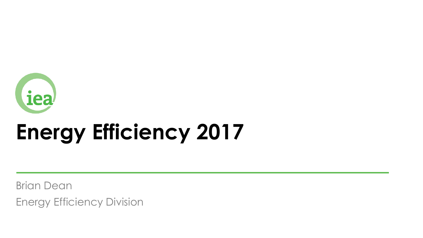

# **Energy Efficiency 2017**

Brian Dean

Energy Efficiency Division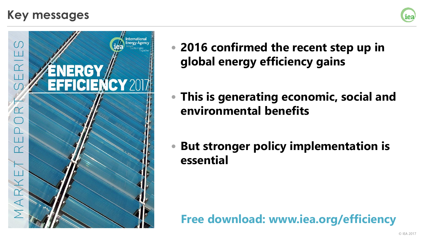### **Key messages**





- **2016 confirmed the recent step up in global energy efficiency gains**
- **This is generating economic, social and environmental benefits**
- **But stronger policy implementation is essential**

### **Free download: www.iea.org/efficiency**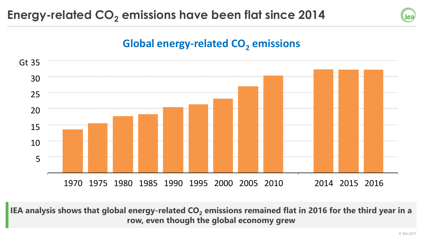

### **Global energy-related CO<sup>2</sup> emissions**



**IEA analysis shows that global energy-related CO<sup>2</sup> emissions remained flat in 2016 for the third year in a row, even though the global economy grew**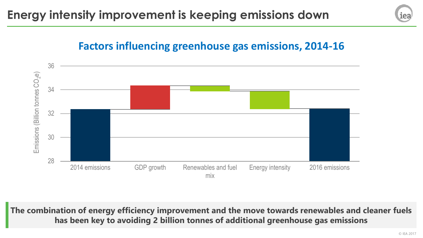### **Factors influencing greenhouse gas emissions, 2014-16**



**The combination of energy efficiency improvement and the move towards renewables and cleaner fuels has been key to avoiding 2 billion tonnes of additional greenhouse gas emissions**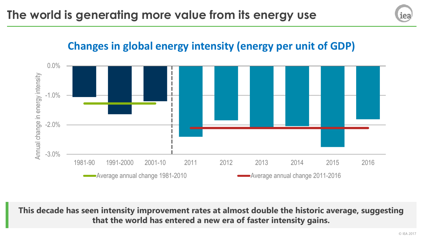## іеа

### **Changes in global energy intensity (energy per unit of GDP)**



**This decade has seen intensity improvement rates at almost double the historic average, suggesting that the world has entered a new era of faster intensity gains.**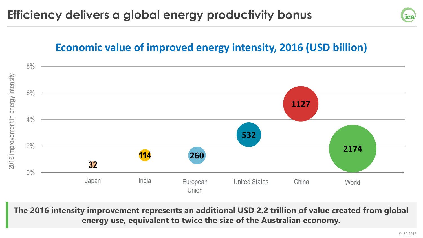

### **Economic value of improved energy intensity, 2016 (USD billion)**



**The 2016 intensity improvement represents an additional USD 2.2 trillion of value created from global energy use, equivalent to twice the size of the Australian economy.**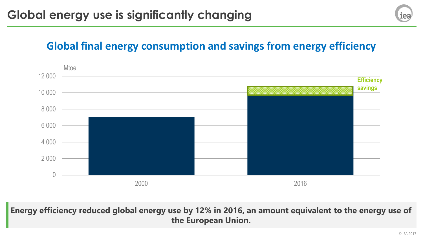### **Global final energy consumption and savings from energy efficiency**



**Energy efficiency reduced global energy use by 12% in 2016, an amount equivalent to the energy use of the European Union.**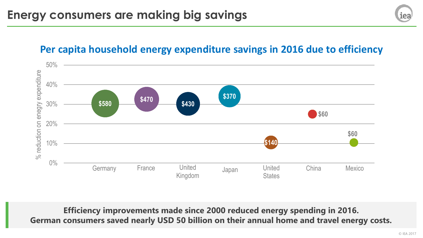# іеа

### **Per capita household energy expenditure savings in 2016 due to efficiency**



**Efficiency improvements made since 2000 reduced energy spending in 2016. German consumers saved nearly USD 50 billion on their annual home and travel energy costs.**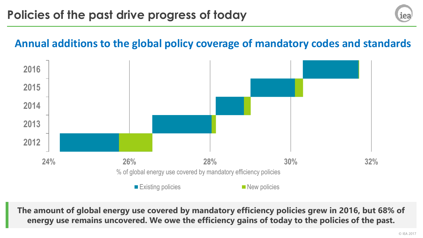### **Annual additions to the global policy coverage of mandatory codes and standards**



**The amount of global energy use covered by mandatory efficiency policies grew in 2016, but 68% of energy use remains uncovered. We owe the efficiency gains of today to the policies of the past.**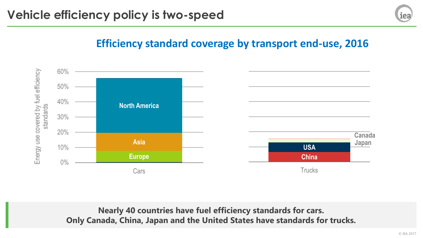

### **Efficiency standard coverage by transport end-use, 2016**



**Nearly 40 countries have fuel efficiency standards for cars. Only Canada, China, Japan and the United States have standards for trucks.**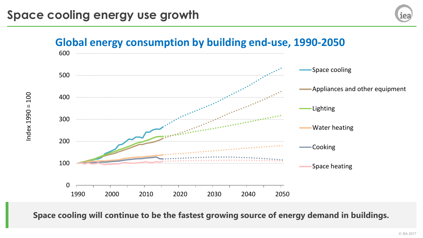

**Space cooling will continue to be the fastest growing source of energy demand in buildings.**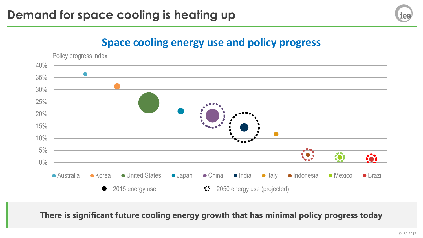

### **Space cooling energy use and policy progress**



**There is significant future cooling energy growth that has minimal policy progress today**